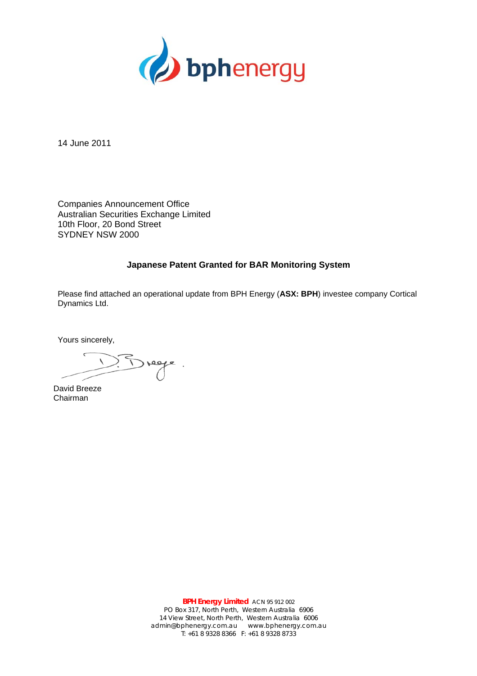

14 June 2011

Companies Announcement Office Australian Securities Exchange Limited 10th Floor, 20 Bond Street SYDNEY NSW 2000

## **Japanese Patent Granted for BAR Monitoring System**

Please find attached an operational update from BPH Energy (**ASX: BPH**) investee company Cortical Dynamics Ltd.

Yours sincerely,

age.

David Breeze Chairman

**BPH Energy Limited** ACN 95 912 002 PO Box 317, North Perth, Western Australia 6906 14 View Street, North Perth, Western Australia 6006 admin@bphenergy.com.au www.bphenergy.com.au T: +61 8 9328 8366 F: +61 8 9328 8733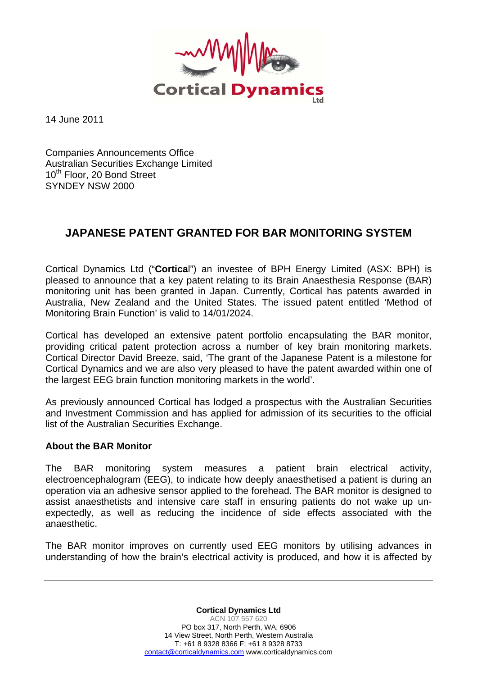

14 June 2011

Companies Announcements Office Australian Securities Exchange Limited 10<sup>th</sup> Floor, 20 Bond Street SYNDEY NSW 2000

## **JAPANESE PATENT GRANTED FOR BAR MONITORING SYSTEM**

Cortical Dynamics Ltd ("**Cortica**l") an investee of BPH Energy Limited (ASX: BPH) is pleased to announce that a key patent relating to its Brain Anaesthesia Response (BAR) monitoring unit has been granted in Japan. Currently, Cortical has patents awarded in Australia, New Zealand and the United States. The issued patent entitled 'Method of Monitoring Brain Function' is valid to 14/01/2024.

Cortical has developed an extensive patent portfolio encapsulating the BAR monitor, providing critical patent protection across a number of key brain monitoring markets. Cortical Director David Breeze, said, 'The grant of the Japanese Patent is a milestone for Cortical Dynamics and we are also very pleased to have the patent awarded within one of the largest EEG brain function monitoring markets in the world'.

As previously announced Cortical has lodged a prospectus with the Australian Securities and Investment Commission and has applied for admission of its securities to the official list of the Australian Securities Exchange.

## **About the BAR Monitor**

The BAR monitoring system measures a patient brain electrical activity, electroencephalogram (EEG), to indicate how deeply anaesthetised a patient is during an operation via an adhesive sensor applied to the forehead. The BAR monitor is designed to assist anaesthetists and intensive care staff in ensuring patients do not wake up unexpectedly, as well as reducing the incidence of side effects associated with the anaesthetic.

The BAR monitor improves on currently used EEG monitors by utilising advances in understanding of how the brain's electrical activity is produced, and how it is affected by

> **Cortical Dynamics Ltd**  ACN 107 557 620 PO box 317, North Perth, WA, 6906 14 View Street, North Perth, Western Australia T: +61 8 9328 8366 F: +61 8 9328 8733 contact@corticaldynamics.com www.corticaldynamics.com